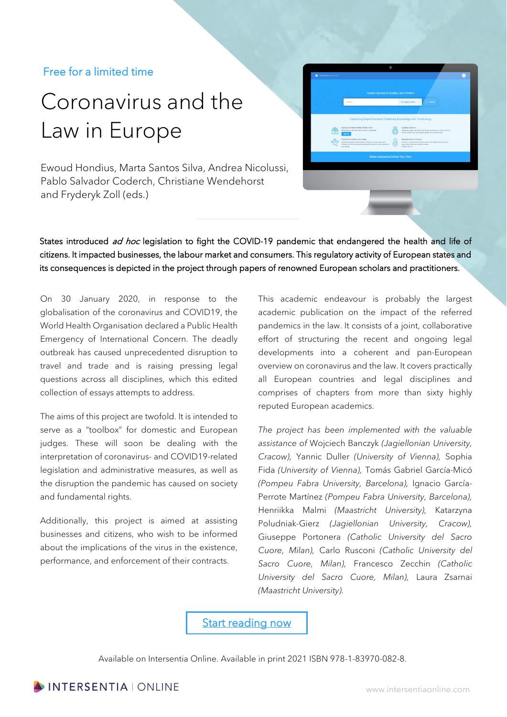## Free for a limited time

# Coronavirus and the Law in Europe

Ewoud Hondius, Marta Santos Silva, Andrea Nicolussi, Pablo Salvador Coderch, Christiane Wendehorst and Fryderyk Zoll (eds.)

| <b>WINTERSENTIAL DNUME</b> |                                                                                                                                                                                                                                                                                            |     |                                                                                                                                                                                                                                                                                                              |          | ſω |
|----------------------------|--------------------------------------------------------------------------------------------------------------------------------------------------------------------------------------------------------------------------------------------------------------------------------------------|-----|--------------------------------------------------------------------------------------------------------------------------------------------------------------------------------------------------------------------------------------------------------------------------------------------------------------|----------|----|
|                            |                                                                                                                                                                                                                                                                                            |     |                                                                                                                                                                                                                                                                                                              |          |    |
|                            | <b>Instant Access to Quality Law Content</b>                                                                                                                                                                                                                                               |     |                                                                                                                                                                                                                                                                                                              |          |    |
|                            | bearch                                                                                                                                                                                                                                                                                     |     | ALBUMY FORD LIN                                                                                                                                                                                                                                                                                              | Q saaren |    |
|                            |                                                                                                                                                                                                                                                                                            |     |                                                                                                                                                                                                                                                                                                              |          |    |
|                            | Sign up to Intersentia Online Alert.<br>Receive an email when new content is aplaeded.<br>Sign up<br>Find Information Your Way.<br>Intersentia Online brings together relevant resources in many<br>formate. Use full text search and irraitive fibera to tailor results to<br>your membs. | (O) | Quality Matters.<br>The abuses apply the traditional review processes to ensure that all<br>of our content is of the highest quality. No compromises,<br>Publish Open Access.<br>All of our open access content comes with editorial support and<br>poor raviou. Bocause quality motters.<br>Publish with us |          |    |
|                            | Make Intersentia Online Your Own                                                                                                                                                                                                                                                           |     |                                                                                                                                                                                                                                                                                                              |          |    |
|                            |                                                                                                                                                                                                                                                                                            |     |                                                                                                                                                                                                                                                                                                              |          |    |
|                            |                                                                                                                                                                                                                                                                                            |     |                                                                                                                                                                                                                                                                                                              |          |    |
|                            |                                                                                                                                                                                                                                                                                            |     |                                                                                                                                                                                                                                                                                                              |          |    |
|                            |                                                                                                                                                                                                                                                                                            |     |                                                                                                                                                                                                                                                                                                              |          |    |
|                            |                                                                                                                                                                                                                                                                                            |     |                                                                                                                                                                                                                                                                                                              |          |    |

States introduced ad hoc legislation to fight the COVID-19 pandemic that endangered the health and life of citizens. It impacted businesses, the labour market and consumers. This regulatory activity of European states and its consequences is depicted in the project through papers of renowned European scholars and practitioners.

On 30 January 2020, in response to the globalisation of the coronavirus and COVID19, the World Health Organisation declared a Public Health Emergency of International Concern. The deadly outbreak has caused unprecedented disruption to travel and trade and is raising pressing legal questions across all disciplines, which this edited collection of essays attempts to address.

The aims of this project are twofold. It is intended to serve as a "toolbox" for domestic and European judges. These will soon be dealing with the interpretation of coronavirus- and COVID19-related legislation and administrative measures, as well as the disruption the pandemic has caused on society and fundamental rights.

Additionally, this project is aimed at assisting businesses and citizens, who wish to be informed about the implications of the virus in the existence, performance, and enforcement of their contracts.

This academic endeavour is probably the largest academic publication on the impact of the referred pandemics in the law. It consists of a joint, collaborative effort of structuring the recent and ongoing legal developments into a coherent and pan-European overview on coronavirus and the law. It covers practically all European countries and legal disciplines and comprises of chapters from more than sixty highly reputed European academics.

*The project has been implemented with the valuable assistance of* Wojciech Banczyk *(Jagiellonian University, Cracow),* Yannic Duller *(University of Vienna),* Sophia Fida *(University of Vienna),* Tomás Gabriel García-Micó *(Pompeu Fabra University, Barcelona),* Ignacio García-Perrote Martínez *(Pompeu Fabra University, Barcelona),* Henriikka Malmi *(Maastricht University),* Katarzyna Poludniak-Gierz *(Jagiellonian University, Cracow),*  Giuseppe Portonera *(Catholic University del Sacro Cuore, Milan),* Carlo Rusconi *(Catholic University del Sacro Cuore, Milan),* Francesco Zecchin *(Catholic University del Sacro Cuore, Milan),* Laura Zsarnai *(Maastricht University).*

[Start reading now](https://www.intersentiaonline.com/bundle/coronavirus-and-the) 

Available on Intersentia Online. Available in print 2021 ISBN 978-1-83970-082-8.